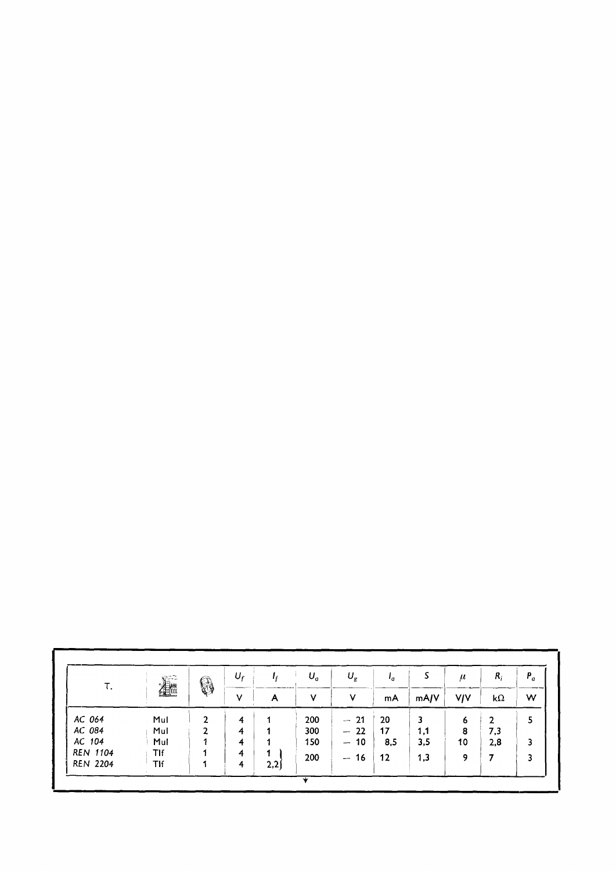| т.              | 着   | 0 | $U_f$<br>v | A    | $U_a$<br>٧ | $U_g$<br>v                     | 'a<br>mA | S<br>mA/V | $\mu$<br><b>V/V</b> | $R_i$<br>$k\Omega$ | $P_a$<br>W |
|-----------------|-----|---|------------|------|------------|--------------------------------|----------|-----------|---------------------|--------------------|------------|
|                 |     |   |            |      |            |                                |          |           |                     |                    |            |
| AC 084          | Mul |   | 4          |      | 300        | $-22$                          | 17       | 1,1       | 8                   | 7,3                |            |
| AC 104          | Mul |   | 4          |      | 150        | $-10$                          | 8,5      | 3,5       | 10                  | 2,8                | 3          |
| <b>REN 1104</b> | Tlf |   | 4          |      | 200        | 16<br>$\overline{\phantom{a}}$ | 12       | 1,3       | 9                   |                    |            |
| <b>REN 2204</b> | TIf |   | 4          | 2,2) |            |                                |          |           |                     |                    |            |